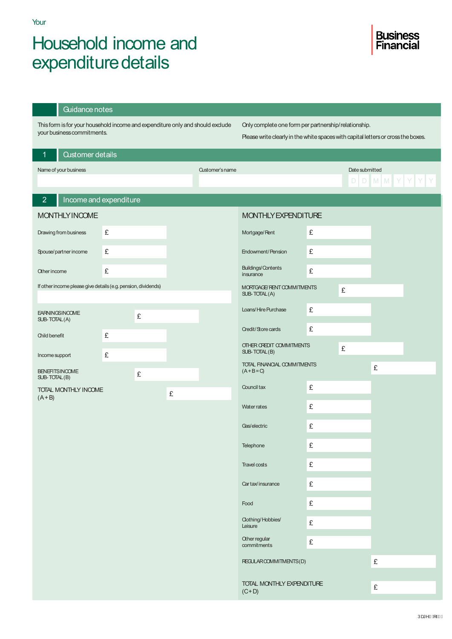## Household income and expenditure details

| Guidance notes                                                                                               |   |   |   |                                                                                                                                           |                                              |   |                |       |  |
|--------------------------------------------------------------------------------------------------------------|---|---|---|-------------------------------------------------------------------------------------------------------------------------------------------|----------------------------------------------|---|----------------|-------|--|
| This form is for your household income and expenditure only and should exclude<br>your business commitments. |   |   |   | Only complete one form per partnership/relationship.<br>Please write clearly in the white spaces with capital letters or cross the boxes. |                                              |   |                |       |  |
| <b>Customer details</b><br>$\mathbf{1}$                                                                      |   |   |   |                                                                                                                                           |                                              |   |                |       |  |
| Name of your business                                                                                        |   |   |   | <b>Customer's name</b>                                                                                                                    |                                              |   | Date submitted |       |  |
|                                                                                                              |   |   |   |                                                                                                                                           |                                              |   | D              | D M M |  |
| $\overline{2}$<br>Income and expenditure                                                                     |   |   |   |                                                                                                                                           |                                              |   |                |       |  |
| <b>MONTHLY INCOME</b>                                                                                        |   |   |   |                                                                                                                                           | MONTHLY EXPENDITURE                          |   |                |       |  |
| Drawing from business                                                                                        | £ |   |   |                                                                                                                                           | Mortgage/Rent                                | £ |                |       |  |
| Spouse/partner income                                                                                        | £ |   |   |                                                                                                                                           | <b>Endowment/Pension</b>                     | £ |                |       |  |
| Other income                                                                                                 | £ |   |   |                                                                                                                                           | <b>Buildings/Contents</b><br>insurance       | £ |                |       |  |
| If other income please give details (e.g. pension, dividends)                                                |   |   |   |                                                                                                                                           | MORTGAGE/ RENT COMMITMENTS<br>SUB-TOTAL(A)   |   | £              |       |  |
| <b>EARNINGSINCOME</b><br>SUB-TOTAL(A)                                                                        |   | £ |   |                                                                                                                                           | Loans/Hire Purchase                          | £ |                |       |  |
| Child benefit                                                                                                | £ |   |   |                                                                                                                                           | <b>Credit/Store cards</b>                    | £ |                |       |  |
| Income support                                                                                               | £ |   |   |                                                                                                                                           | OTHER CREDIT COMMITMENTS<br>SUB-TOTAL(B)     |   | £              |       |  |
| <b>BENEFITSINCOME</b>                                                                                        |   | £ |   |                                                                                                                                           | TOTAL FINANCIAL COMMITMENTS<br>$(A + B = C)$ |   |                | £     |  |
| SUB-TOTAL(B)<br>TOTAL MONTHLY INCOME                                                                         |   |   | £ |                                                                                                                                           | Council tax                                  | £ |                |       |  |
| $(A + B)$                                                                                                    |   |   |   |                                                                                                                                           | Water rates                                  | £ |                |       |  |
|                                                                                                              |   |   |   |                                                                                                                                           | Gas/electric                                 | £ |                |       |  |
|                                                                                                              |   |   |   |                                                                                                                                           | Telephone                                    | £ |                |       |  |
|                                                                                                              |   |   |   |                                                                                                                                           | <b>Travel costs</b>                          | £ |                |       |  |
|                                                                                                              |   |   |   |                                                                                                                                           | Cartax/insurance                             | £ |                |       |  |
|                                                                                                              |   |   |   |                                                                                                                                           | Food                                         | £ |                |       |  |
|                                                                                                              |   |   |   |                                                                                                                                           | <b>Clothing/Hobbies/</b><br>Leisure          | £ |                |       |  |
|                                                                                                              |   |   |   |                                                                                                                                           | Other regular<br>commitments                 | £ |                |       |  |
|                                                                                                              |   |   |   |                                                                                                                                           | REGULAROOMMITMENTS(D)                        |   |                | £     |  |
|                                                                                                              |   |   |   |                                                                                                                                           | TOTAL MONTHLY EXPENDITURE<br>$(C+D)$         |   |                | £     |  |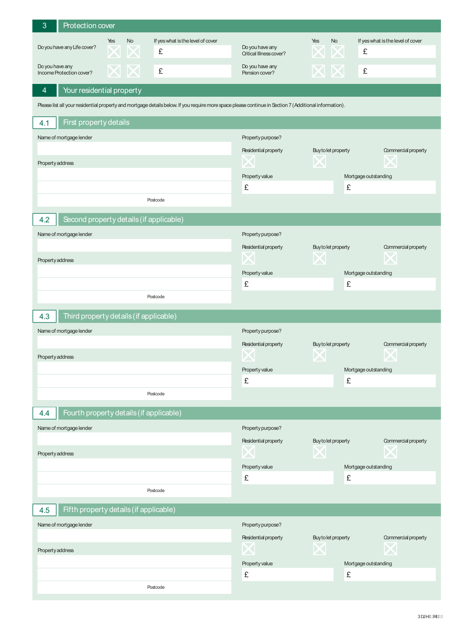| 3                | Protection cover                                 |     |    |                                                                                                                                                        |                                                   |                      |                                   |  |  |  |
|------------------|--------------------------------------------------|-----|----|--------------------------------------------------------------------------------------------------------------------------------------------------------|---------------------------------------------------|----------------------|-----------------------------------|--|--|--|
|                  |                                                  | Yes | No | If yes what is the level of cover                                                                                                                      |                                                   | No<br>Yes            | If yes what is the level of cover |  |  |  |
|                  | Do you have any Life cover?                      |     |    | £                                                                                                                                                      | Do you have any<br><b>Oritical Illness cover?</b> |                      | £                                 |  |  |  |
|                  | Do you have any<br>£<br>Income Protection cover? |     |    |                                                                                                                                                        | Do you have any<br>Pension cover?                 |                      | £                                 |  |  |  |
| 4                | Your residential property                        |     |    |                                                                                                                                                        |                                                   |                      |                                   |  |  |  |
|                  |                                                  |     |    | Please list all your residential property and mortgage details below. If you require more space please continue in Section 7 (Additional information). |                                                   |                      |                                   |  |  |  |
| 4.1              | First property details                           |     |    |                                                                                                                                                        |                                                   |                      |                                   |  |  |  |
|                  | Name of mortgage lender                          |     |    |                                                                                                                                                        | Property purpose?                                 |                      |                                   |  |  |  |
|                  |                                                  |     |    |                                                                                                                                                        | Residential property                              | Buy to let property  | Commercial property               |  |  |  |
| Property address |                                                  |     |    |                                                                                                                                                        |                                                   | ZX.                  |                                   |  |  |  |
|                  |                                                  |     |    |                                                                                                                                                        | Property value                                    |                      | Mortgage outstanding              |  |  |  |
|                  |                                                  |     |    |                                                                                                                                                        | £                                                 | £                    |                                   |  |  |  |
|                  |                                                  |     |    | Postcode                                                                                                                                               |                                                   |                      |                                   |  |  |  |
| 4.2              | Second property details (if applicable)          |     |    |                                                                                                                                                        |                                                   |                      |                                   |  |  |  |
|                  | Name of mortgage lender                          |     |    |                                                                                                                                                        | Property purpose?                                 |                      |                                   |  |  |  |
|                  |                                                  |     |    |                                                                                                                                                        | Residential property                              | Buy to let property  | Commercial property               |  |  |  |
|                  |                                                  |     |    |                                                                                                                                                        |                                                   |                      |                                   |  |  |  |
| Property address |                                                  |     |    |                                                                                                                                                        | Property value                                    |                      | Mortgage outstanding              |  |  |  |
|                  |                                                  |     |    |                                                                                                                                                        | £                                                 | £                    |                                   |  |  |  |
|                  |                                                  |     |    | Postcode                                                                                                                                               |                                                   |                      |                                   |  |  |  |
|                  |                                                  |     |    |                                                                                                                                                        |                                                   |                      |                                   |  |  |  |
| 4.3              | Third property details (if applicable)           |     |    |                                                                                                                                                        |                                                   |                      |                                   |  |  |  |
|                  | Name of mortgage lender                          |     |    |                                                                                                                                                        | Property purpose?                                 |                      |                                   |  |  |  |
|                  |                                                  |     |    |                                                                                                                                                        | Residential property                              | Buy to let property  | Commercial property               |  |  |  |
| Property address |                                                  |     |    |                                                                                                                                                        | $\sim$                                            | $\sum$               | $\sum$                            |  |  |  |
|                  |                                                  |     |    |                                                                                                                                                        | Property value                                    | Mortgage outstanding |                                   |  |  |  |
|                  |                                                  |     |    |                                                                                                                                                        | £                                                 | £                    |                                   |  |  |  |
|                  |                                                  |     |    | Postcode                                                                                                                                               |                                                   |                      |                                   |  |  |  |
| 4.4              | Fourth property details (if applicable)          |     |    |                                                                                                                                                        |                                                   |                      |                                   |  |  |  |
|                  | Name of mortgage lender                          |     |    |                                                                                                                                                        | Property purpose?                                 |                      |                                   |  |  |  |
|                  |                                                  |     |    |                                                                                                                                                        | Residential property                              | Buy to let property  | Commercial property               |  |  |  |
| Property address |                                                  |     |    |                                                                                                                                                        | ╱╲                                                |                      |                                   |  |  |  |
|                  |                                                  |     |    |                                                                                                                                                        | Property value                                    |                      | Mortgage outstanding              |  |  |  |
|                  |                                                  |     |    |                                                                                                                                                        | £                                                 | £                    |                                   |  |  |  |
|                  |                                                  |     |    | Postcode                                                                                                                                               |                                                   |                      |                                   |  |  |  |
| 4.5              | Fifth property details (if applicable)           |     |    |                                                                                                                                                        |                                                   |                      |                                   |  |  |  |
|                  | Name of mortgage lender                          |     |    |                                                                                                                                                        | Property purpose?                                 |                      |                                   |  |  |  |
|                  |                                                  |     |    |                                                                                                                                                        | Residential property                              | Buy to let property  | Commercial property               |  |  |  |
| Property address |                                                  |     |    |                                                                                                                                                        |                                                   | ZN                   |                                   |  |  |  |
|                  |                                                  |     |    |                                                                                                                                                        | Property value                                    |                      | Mortgage outstanding              |  |  |  |
|                  |                                                  |     |    |                                                                                                                                                        | £                                                 | £                    |                                   |  |  |  |
|                  |                                                  |     |    | Postcode                                                                                                                                               |                                                   |                      |                                   |  |  |  |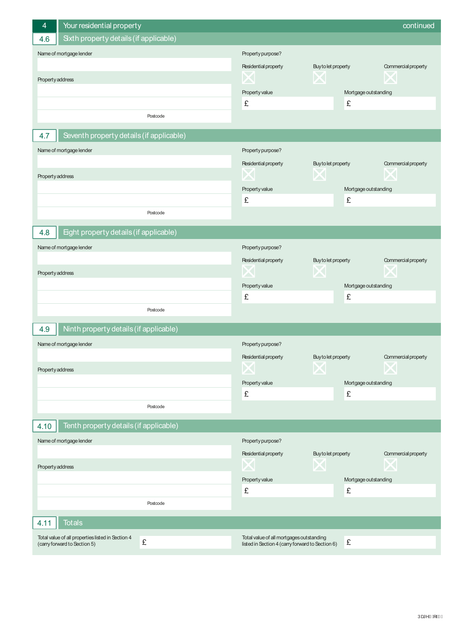| Your residential property<br>4                    |                                                  |                      | continued            |
|---------------------------------------------------|--------------------------------------------------|----------------------|----------------------|
| Sixth property details (if applicable)<br>4.6     |                                                  |                      |                      |
| Name of mortgage lender                           | Property purpose?                                |                      |                      |
|                                                   | Residential property                             | Buy to let property  | Commercial property  |
| Property address                                  |                                                  | X                    |                      |
|                                                   | Property value                                   | Mortgage outstanding |                      |
|                                                   | £                                                | £                    |                      |
| Postcode                                          |                                                  |                      |                      |
| Seventh property details (if applicable)<br>4.7   |                                                  |                      |                      |
| Name of mortgage lender                           | Property purpose?                                |                      |                      |
|                                                   | Residential property                             | Buy to let property  | Commercial property  |
| Property address                                  |                                                  | ZX.                  |                      |
|                                                   | Property value                                   | Mortgage outstanding |                      |
|                                                   | £                                                | £                    |                      |
| Postcode                                          |                                                  |                      |                      |
| Eight property details (if applicable)<br>4.8     |                                                  |                      |                      |
| Name of mortgage lender                           | Property purpose?                                |                      |                      |
|                                                   | Residential property                             | Buy to let property  | Commercial property  |
| Property address                                  |                                                  |                      |                      |
|                                                   | Property value                                   | Mortgage outstanding |                      |
|                                                   | £                                                | £                    |                      |
| Postcode                                          |                                                  |                      |                      |
| Ninth property details (if applicable)<br>4.9     |                                                  |                      |                      |
| Name of mortgage lender                           | Property purpose?                                |                      |                      |
|                                                   | Residential property                             | Buy to let property  | Commercial property  |
| Property address                                  |                                                  |                      |                      |
|                                                   | Property value                                   | Mortgage outstanding |                      |
|                                                   | £                                                | £                    |                      |
| Postcode                                          |                                                  |                      |                      |
| Tenth property details (if applicable)<br>4.10    |                                                  |                      |                      |
| Name of mortgage lender                           | Property purpose?                                |                      |                      |
|                                                   | Residential property                             | Buy to let property  | Commercial property  |
| Property address                                  |                                                  | Д                    |                      |
|                                                   | Property value                                   |                      | Mortgage outstanding |
|                                                   | £                                                | £                    |                      |
| Postcode                                          |                                                  |                      |                      |
| <b>Totals</b><br>4.11                             |                                                  |                      |                      |
| Total value of all properties listed in Section 4 | Total value of all mortgages outstanding         |                      |                      |
| £<br>(carry forward to Section 5)                 | listed in Section 4 (carry forward to Section 6) | £                    |                      |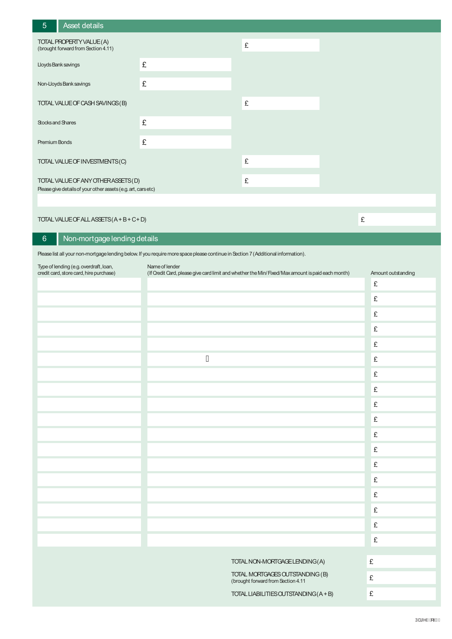| $5^{\circ}$                                                                                         | Asset details                                                   |   |   |
|-----------------------------------------------------------------------------------------------------|-----------------------------------------------------------------|---|---|
|                                                                                                     | TOTAL PROPERTY VALUE (A)<br>(brought forward from Section 4.11) | £ |   |
| Lloyds Bank savings                                                                                 |                                                                 | £ |   |
|                                                                                                     | Non-Lloyds Bank savings                                         | £ |   |
| TOTAL VALUE OF CASH SAVINGS (B)                                                                     |                                                                 |   | £ |
| Stocks and Shares                                                                                   |                                                                 | £ |   |
| <b>Premium Bonds</b>                                                                                |                                                                 | £ |   |
| TOTAL VALUE OF INVESTMENTS (C)                                                                      |                                                                 |   | £ |
| TOTAL VALUE OF ANY OTHERASSETS (D)<br>Please give details of your other assets (e.g. art, cars etc) |                                                                 |   | £ |

TOTALVALUEOFALLASSETS(A+B+C+D)

6 Non-mortgage lending details

Please list all your non-mortgage lending below. If you require more space please continue in Section 7 (Additional information).

| Type of lending (e.g. overdraft, loan,<br>credit card, store card, hire purchase) | Name of lender<br>(If Credit Card, please give card limit and whether the Min/ Fixed/Max amount is paid each month) | Amount outstanding |
|-----------------------------------------------------------------------------------|---------------------------------------------------------------------------------------------------------------------|--------------------|
|                                                                                   |                                                                                                                     | £                  |
|                                                                                   |                                                                                                                     | £                  |
|                                                                                   |                                                                                                                     | £                  |
|                                                                                   |                                                                                                                     | £                  |
|                                                                                   |                                                                                                                     | £                  |
|                                                                                   | Á                                                                                                                   | £                  |
|                                                                                   |                                                                                                                     | £                  |
|                                                                                   |                                                                                                                     | £                  |
|                                                                                   |                                                                                                                     | £                  |
|                                                                                   |                                                                                                                     | £                  |
|                                                                                   |                                                                                                                     | £                  |
|                                                                                   |                                                                                                                     | £                  |
|                                                                                   |                                                                                                                     | £                  |
|                                                                                   |                                                                                                                     | £                  |
|                                                                                   |                                                                                                                     | £                  |
|                                                                                   |                                                                                                                     | £                  |
|                                                                                   |                                                                                                                     | £                  |
|                                                                                   |                                                                                                                     | £                  |
|                                                                                   | TOTAL NON-MORTGAGE LENDING (A)                                                                                      | £                  |
|                                                                                   | TOTAL MORTGAGES OUTSTANDING (B)                                                                                     | £                  |
|                                                                                   | (brought forward from Section 4.11                                                                                  |                    |
|                                                                                   | TOTAL LIABILITIES OUTSTANDING (A+B)                                                                                 | £                  |

£